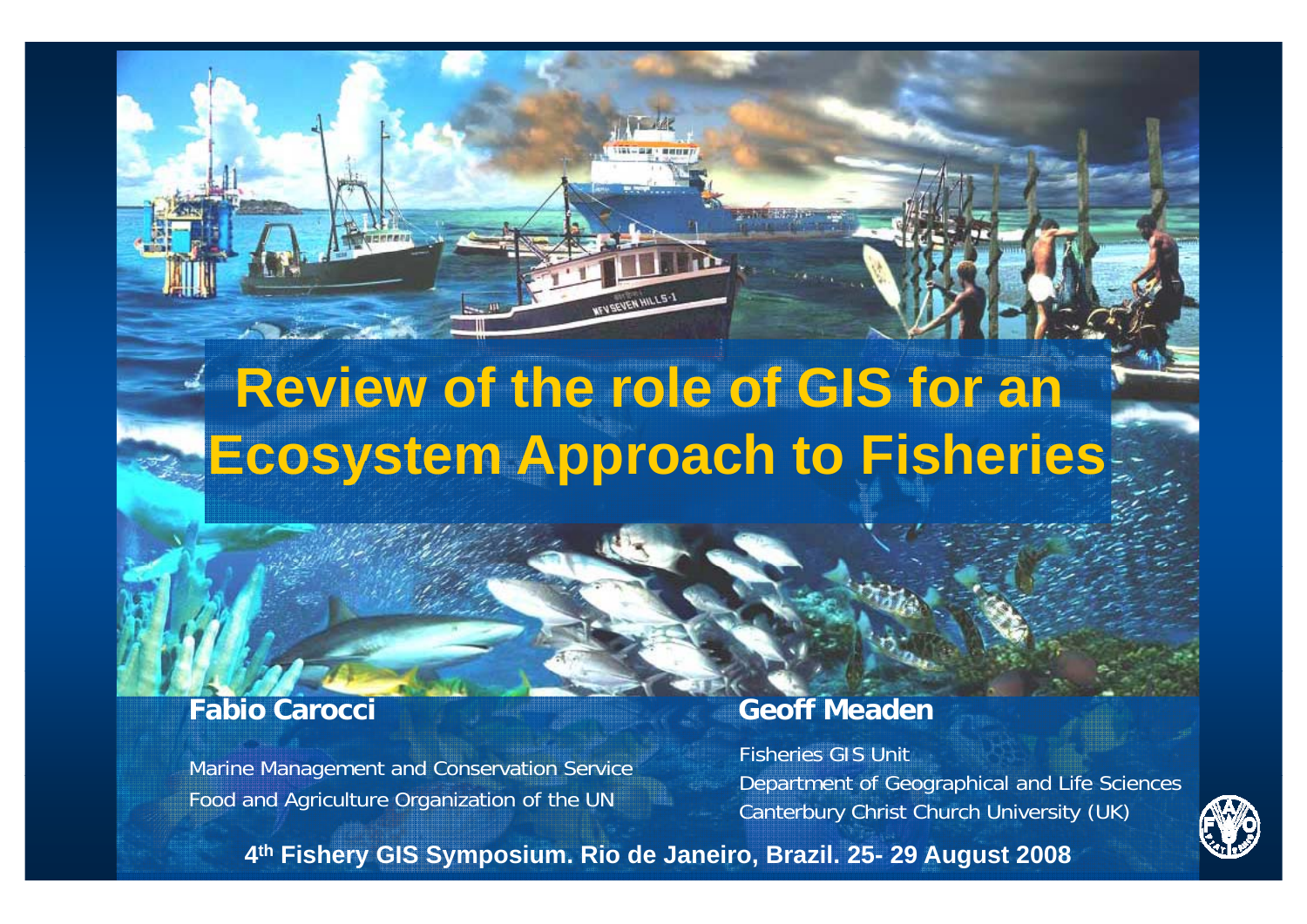## **Review of the role of GIS for an Ecosystem Approach to Fisheries**

Food and Agriculture Organization of the UN

#### **Fabio Carocci Geoff Meaden**

Marine Management and Conservation Service Fisheries GIS Unit<br>Department of Geographical and Life Sci Department of Geographical and Life Sciences Canterbury Christ Church University (UK)



**4th Fishery GIS Symposium. Rio de Janeiro, Brazil. 25- 29 August 2008**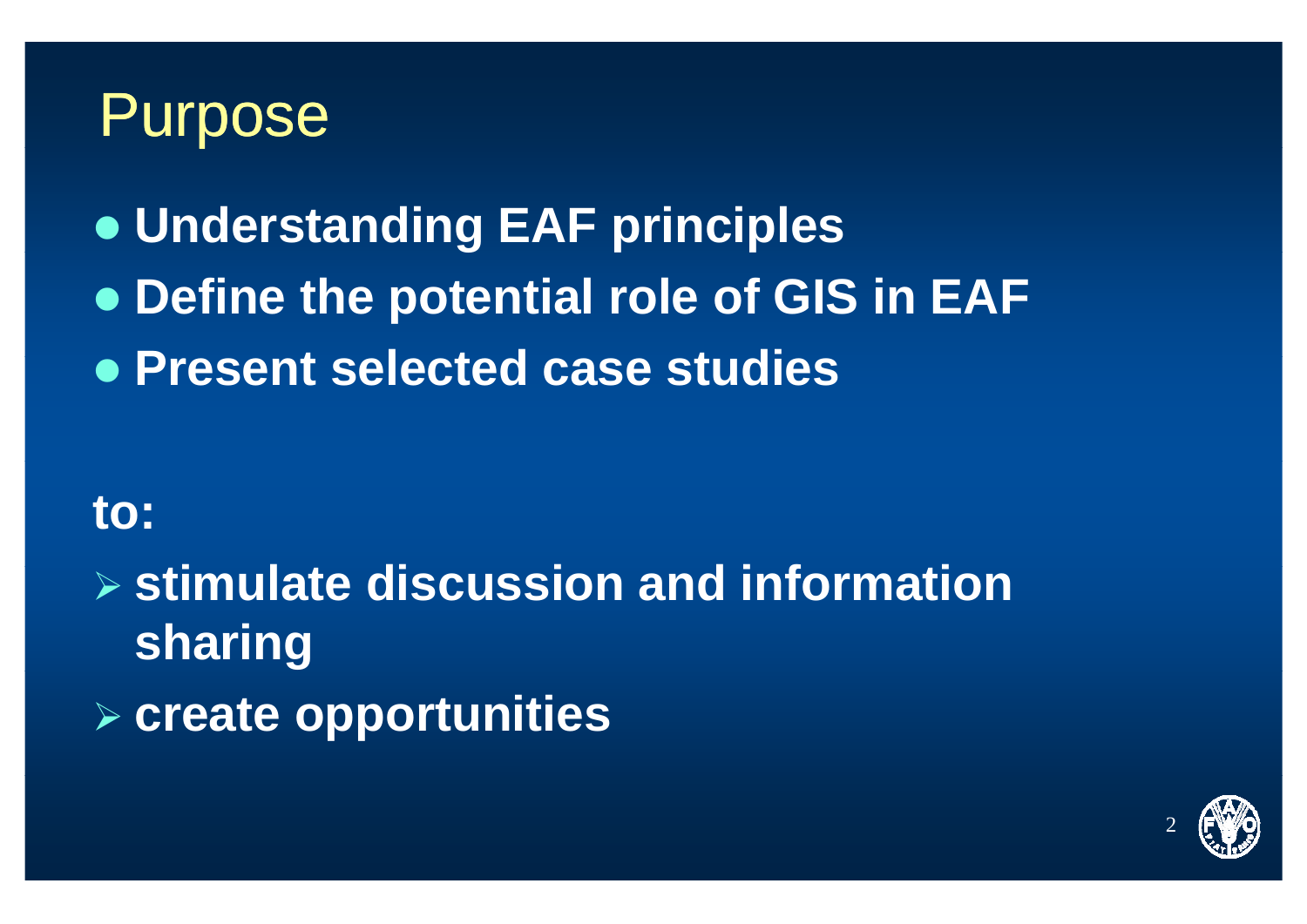#### Purpose

**• Understanding EAF principles** 

- **Define the potential role of GIS in EAF**
- z **P t l t d t di Present selected case studies**

#### **to:**

¾ **sti l t di i d i f ti timulate discussion and information sharing**

¾ **create opportunities**

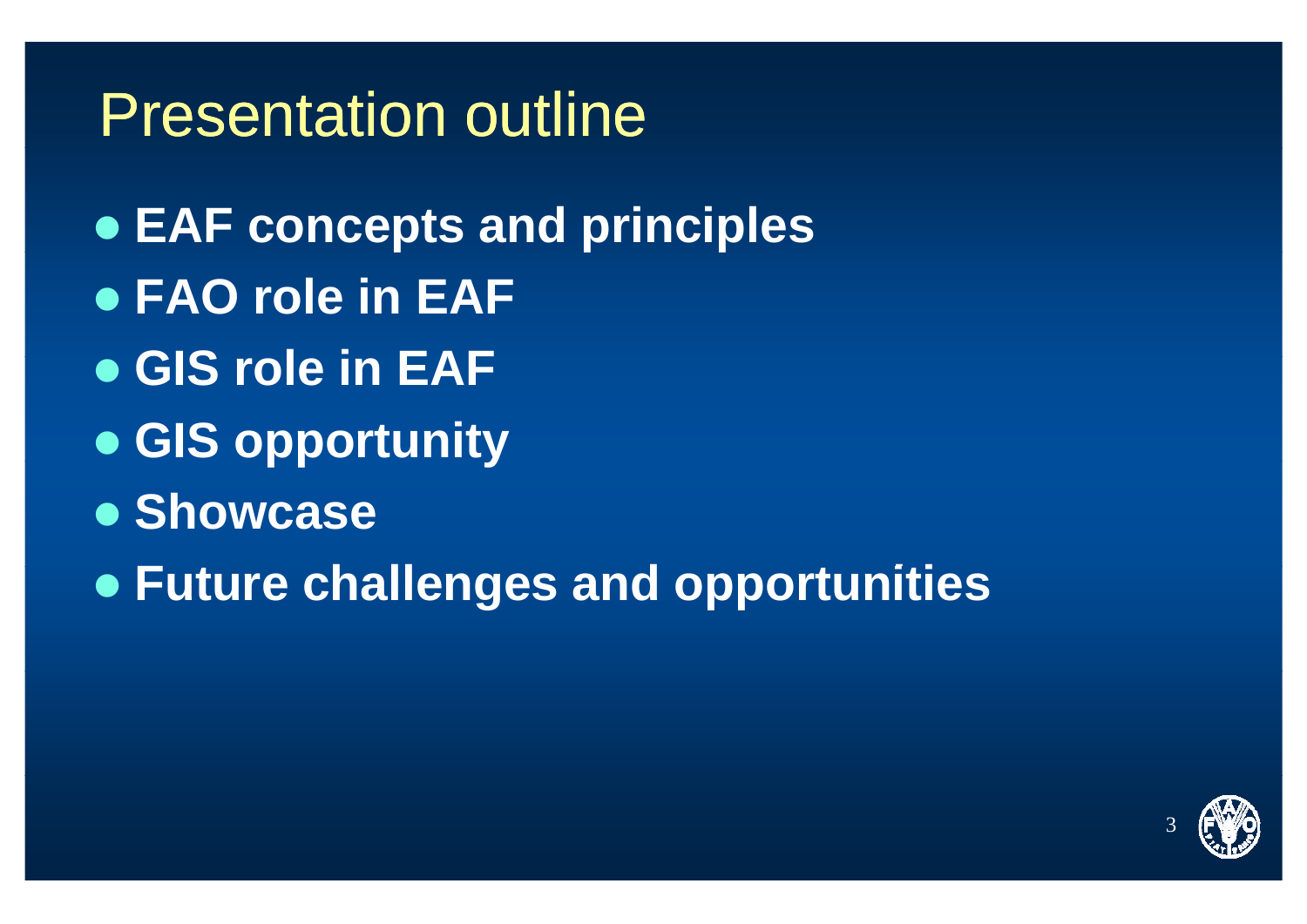#### **Presentation outline**

- EAF concepts and principles
- FAO role in EAF
- **GIS role in EAF**
- GIS opportunity
- Showcase
- Future challenges and opportunities

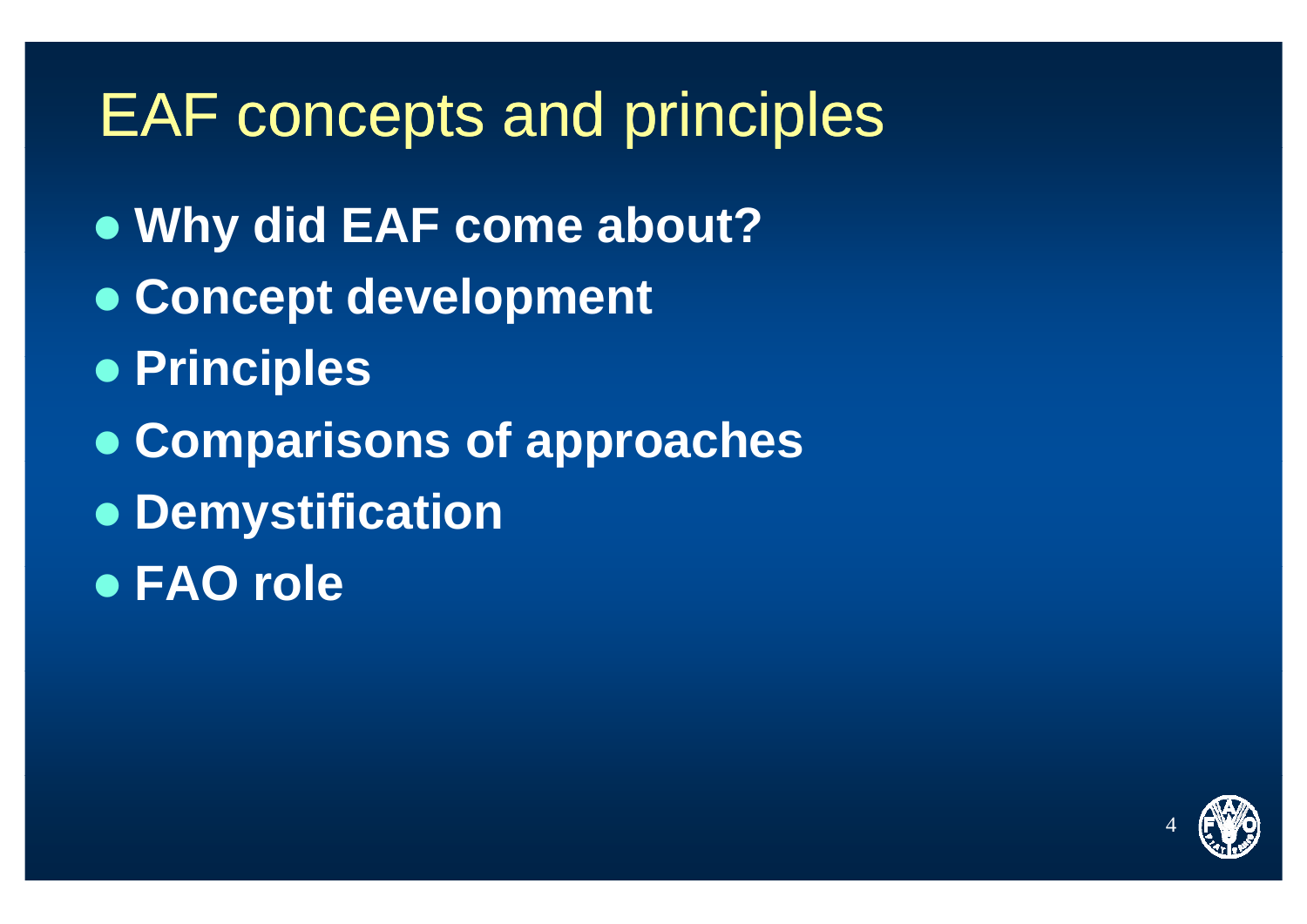#### EAF concepts and principles

- **Why did EAF come about?**
- **Concept development**
- z **Pi i l <sup>r</sup> nciples**
- **Comparisons of approaches**
- **Demystification**
- **e** FAO role

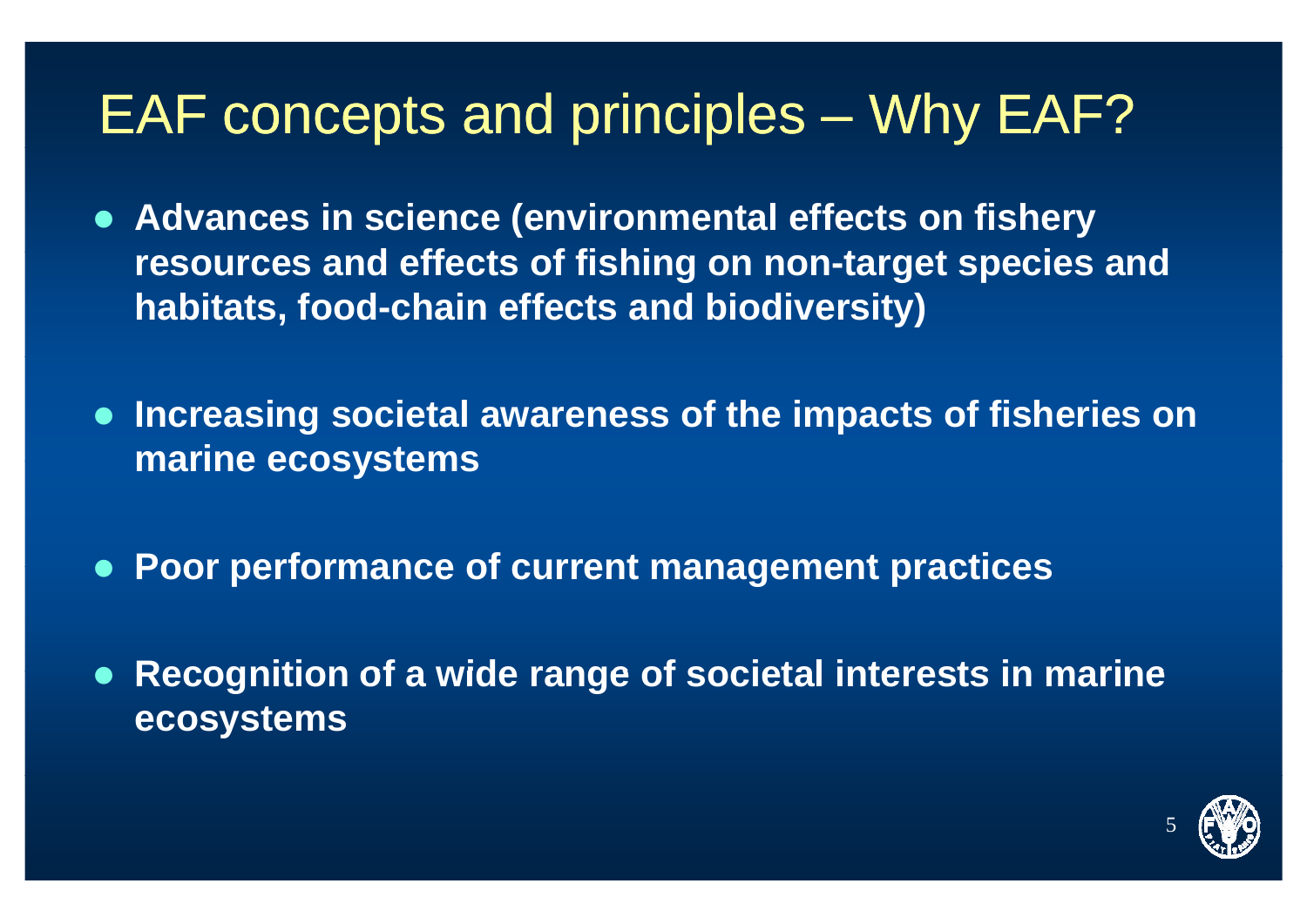#### EAF concepts and principles – Why EAF?

- **Advances in science (environmental effects on fishery resources and ff t f fi hi d effec ts o shing on non-tt i d arge t species an habitats, food-chain effects and biodiversity)**
- **Increasing societal awareness of the impacts of fisheries on marine ecosystems**
- z **Poor performance of current management practices**
- z **Recognition of <sup>a</sup> wide range of societal interests in marine ecosystems**

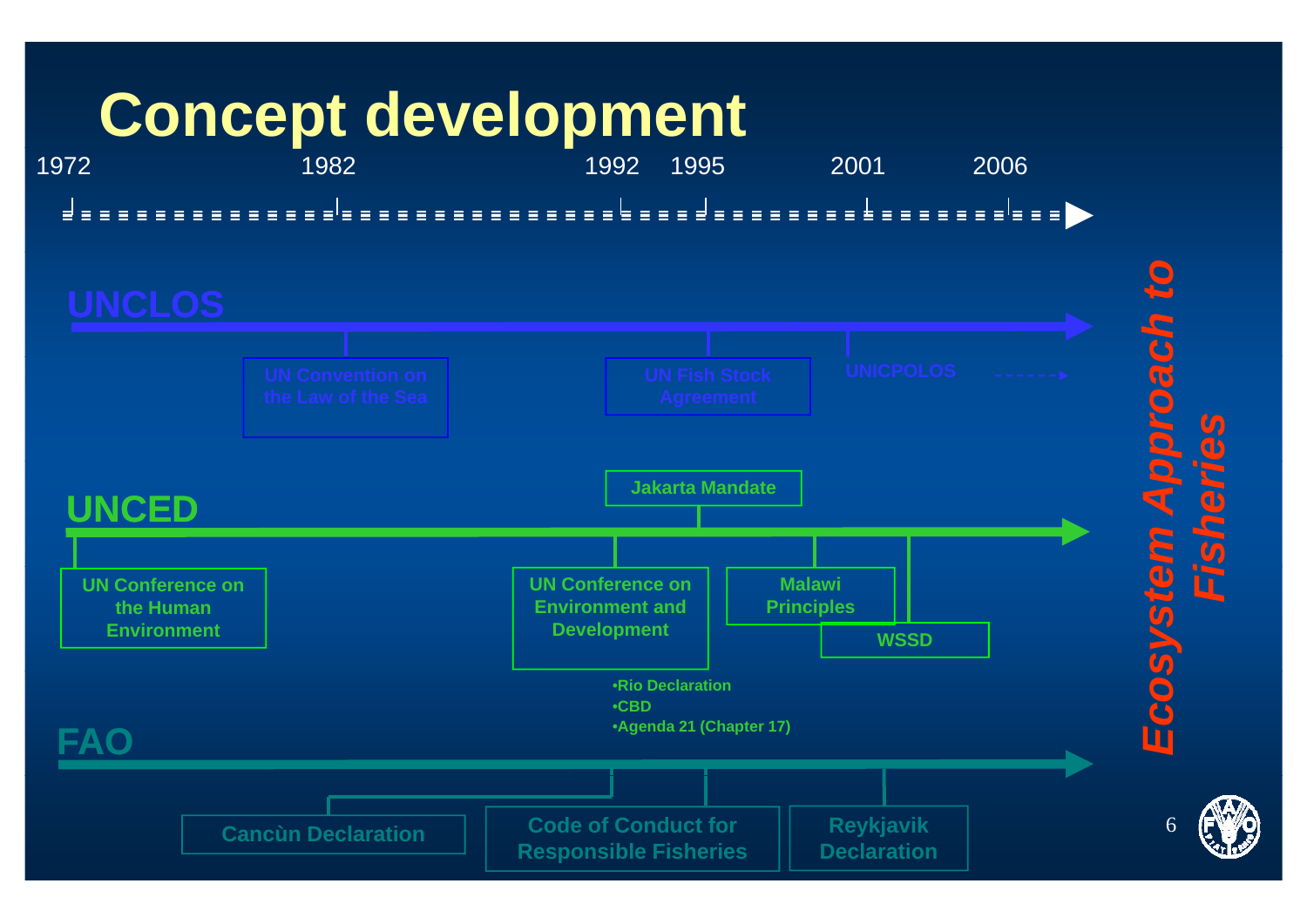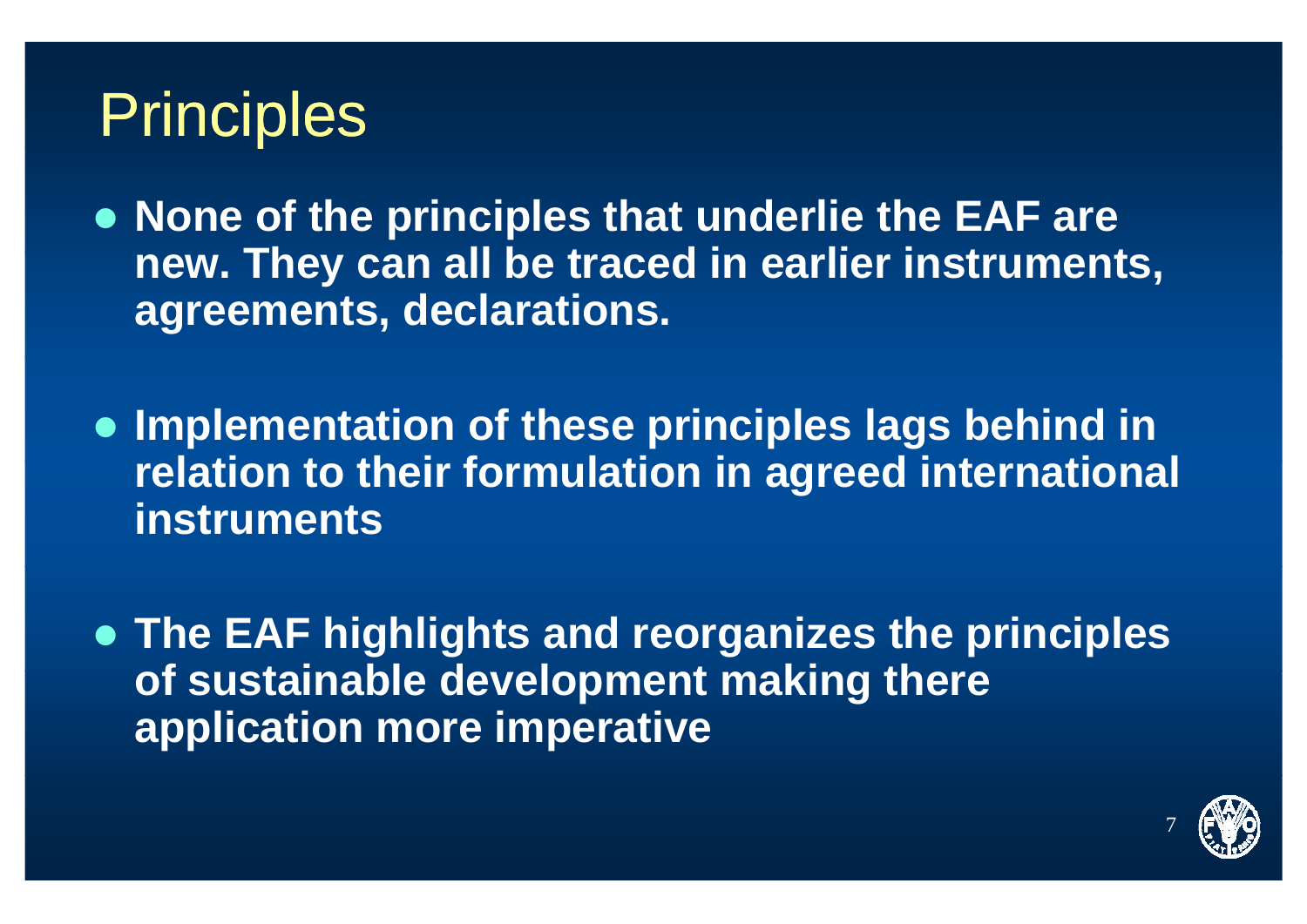## **Principles**

**• None of the principles that underlie the EAF are** new. They can all be traced in earlier instruments, **agreements, declarations.** 

**• Implementation of these principles lags behind in** relation to their formulation in agreed international **instruments**

**• The EAF highlights and reorganizes the principles of t i bl d l t ki th f sustainable development making there application more imperative**

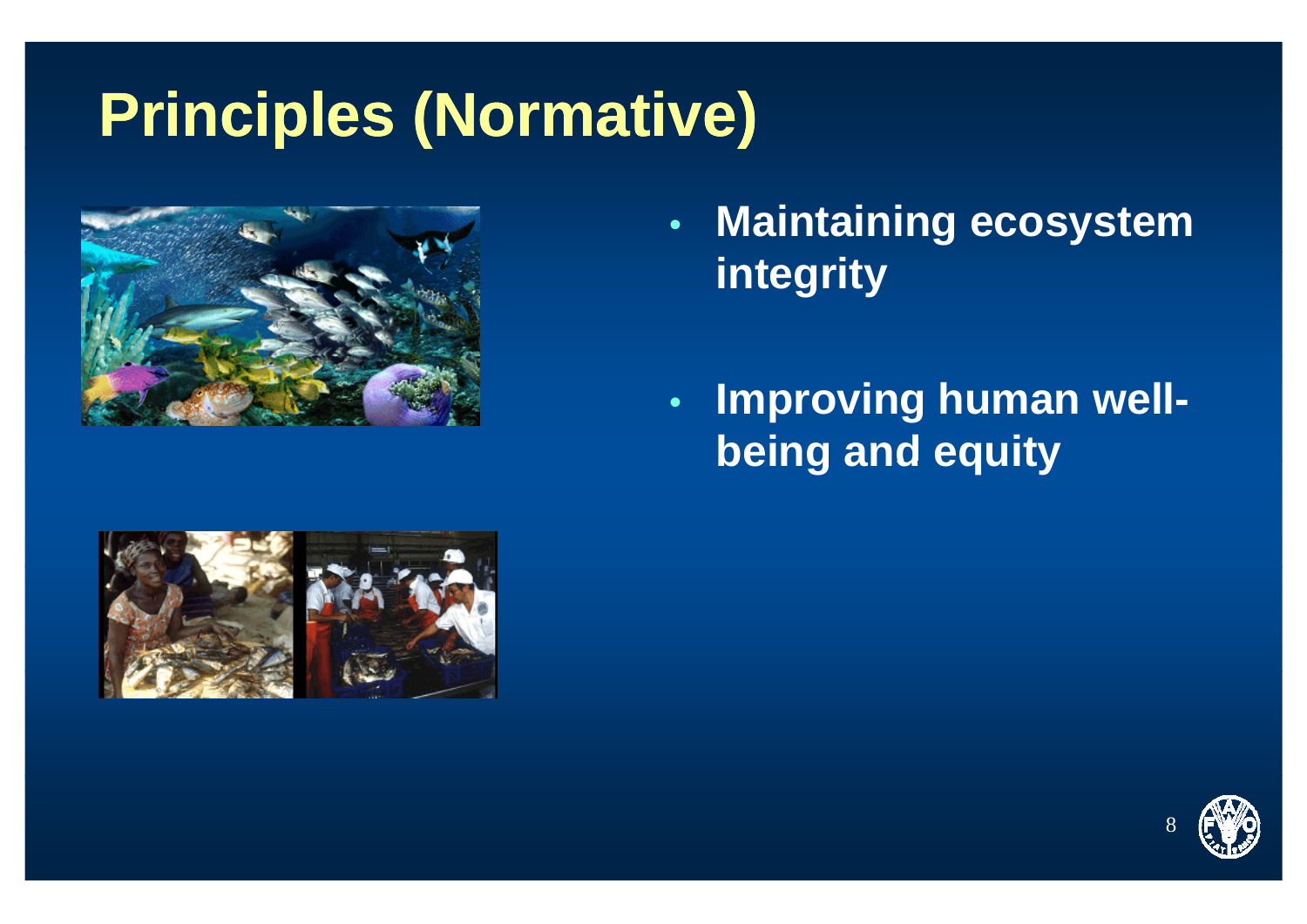## **Principles (Normative)**



- • **Maintaining ecosystem integrity**
- • **Improving human wellbeing and equity**



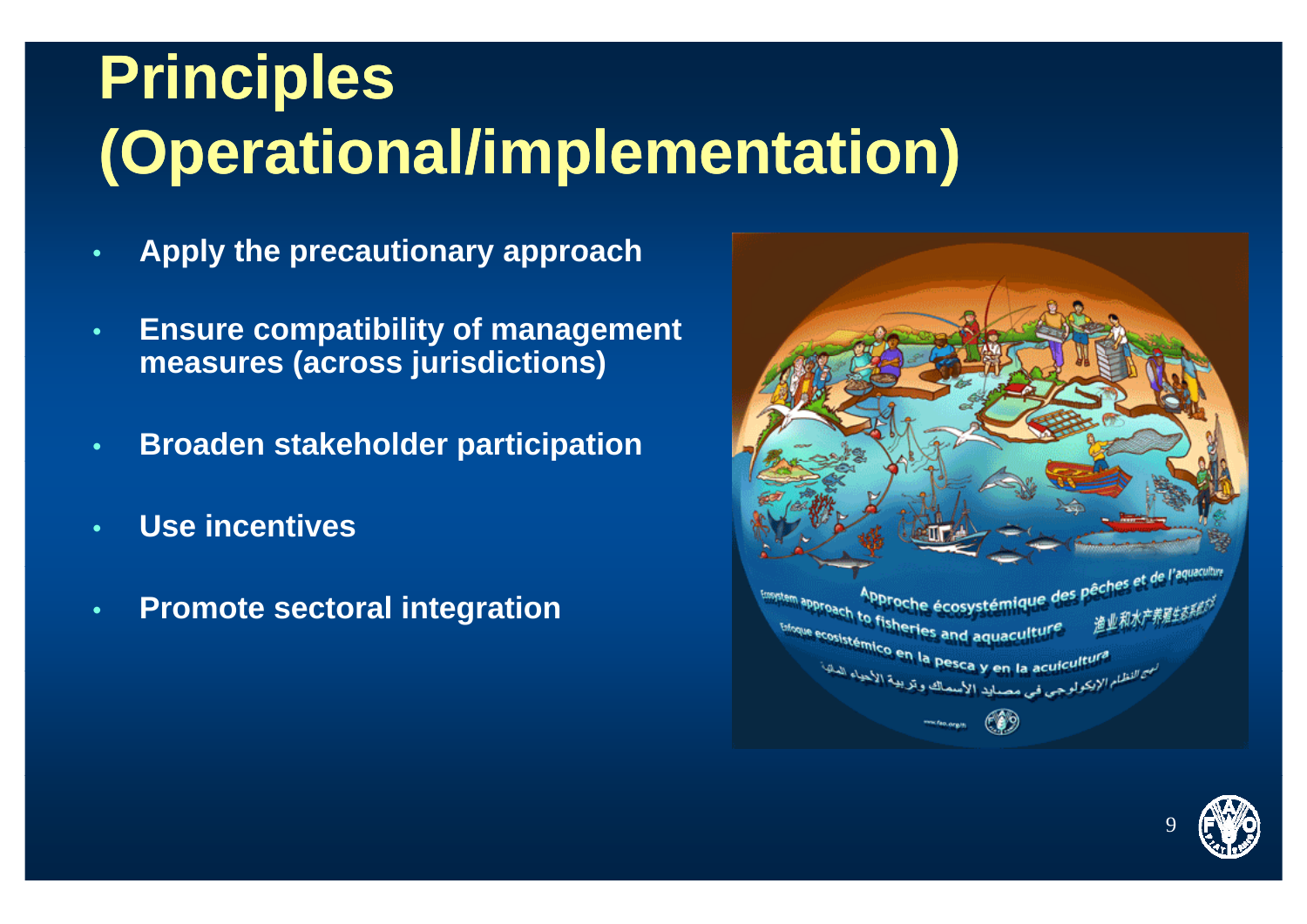# **Principles (Operational/implementation)**

- •**Apply the precautionary approach**
- • **Ensure compatibility of management meas res (across j risdictions) measures jurisdictions)**
- •**Broaden stakeholder participation**
- •**Use incentives**
- •**Promote sectoral integration**



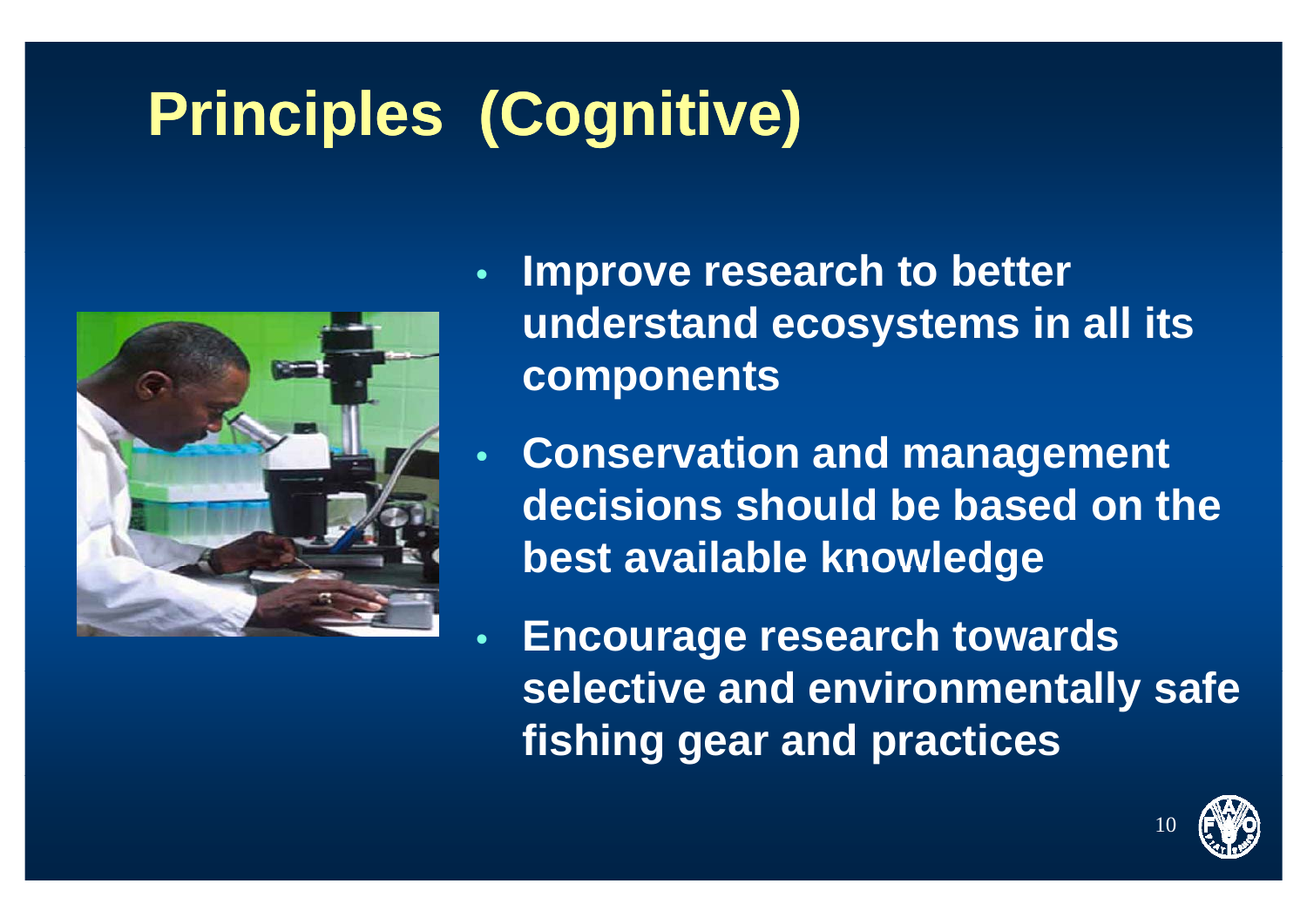# **Princip (g ) les (Cognitive)**



- • **Improve research to better understand ecosystems in all its components**
- • **Conservation and management decisions should be based on the best available knowledge**

 $\bullet$  **Encourage research towards selective and environmentally safe fishing gear and practices**

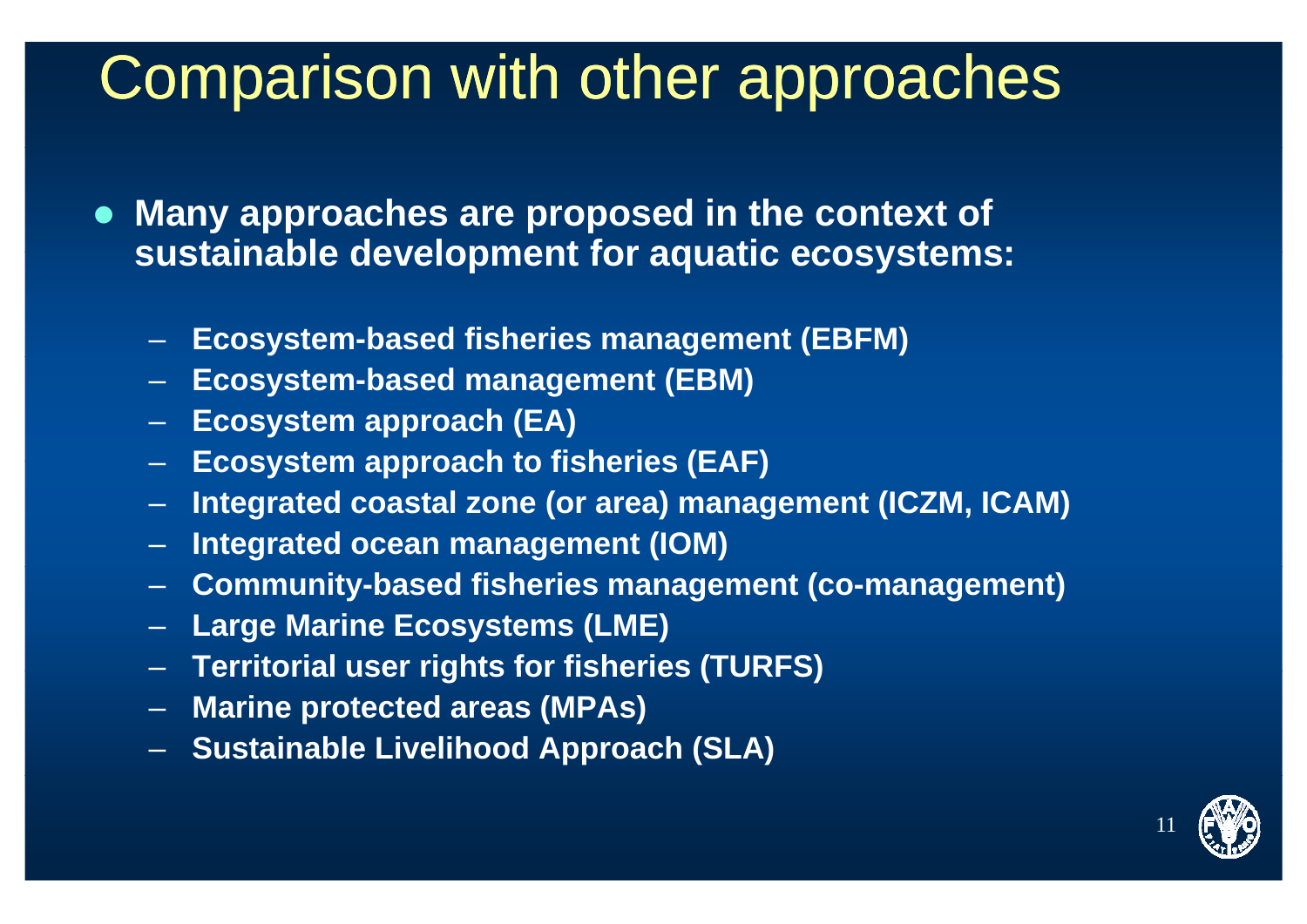#### Comparison with other approaches

- **Many approaches are proposed in the context of sustainable development for aquatic ecosystems:**
	- **Ecosystem-based fisheries management (EBFM)**
	- **Ecosystem-based management (EBM)**
	- **Ecosystem approach (EA)**
	- **Ecosystem approach to fisheries (EAF)**
	- **Integrated coastal zone (or area) management (ICZM, ICAM)**
	- **Integrated ocean management (IOM)**
	- **Community-based fisheries management (co-management)**
	- –**Large Marine Ecosystems (LME)**
	- –**Territorial user rights for fisheries (TURFS) (TURFS)**
	- **Marine protected areas (MPAs)**
	- –**Sustainable Livelihood Approach (SLA)**

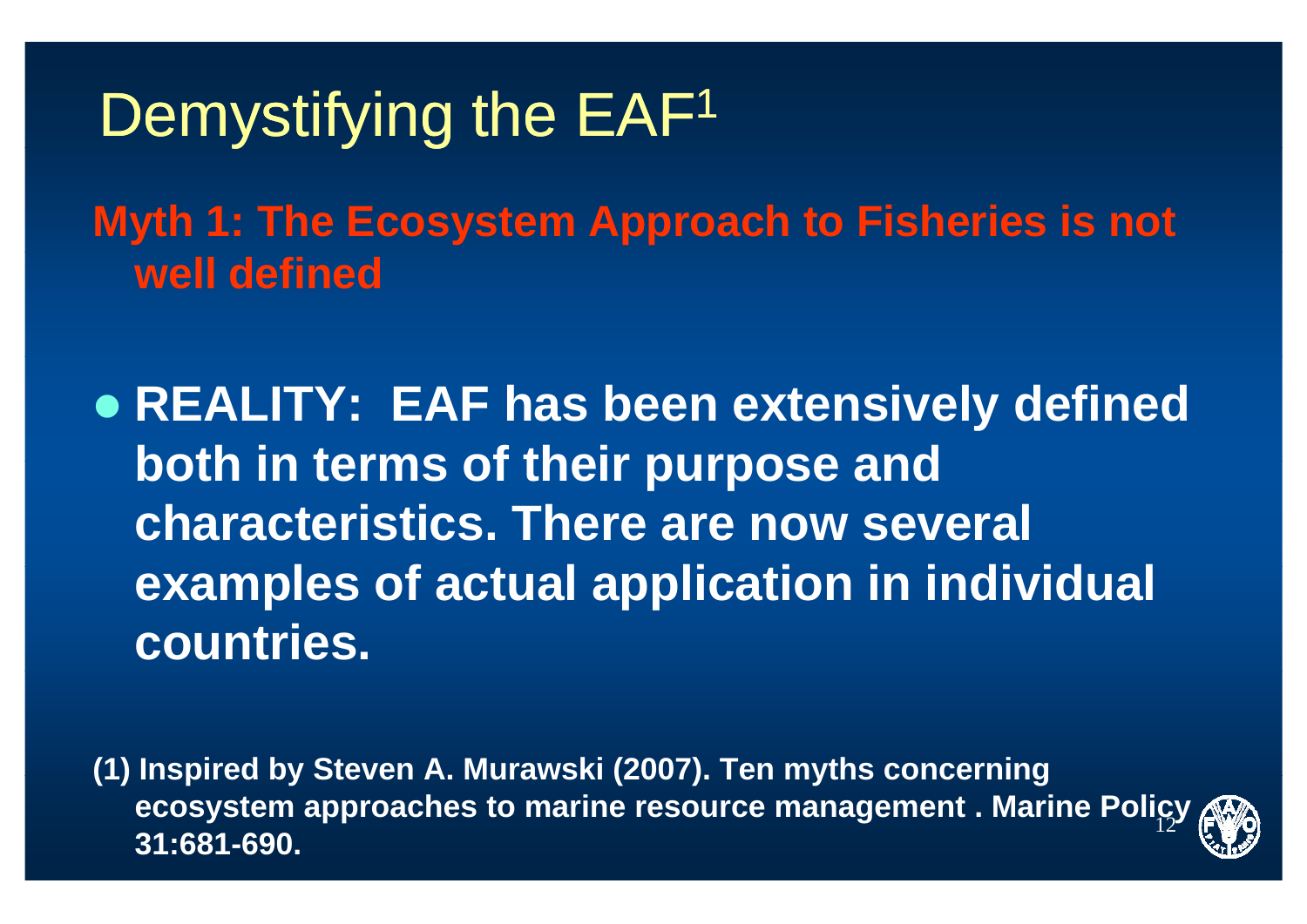#### Demystifying the EAF<sup>1</sup>

**Myth 1: The Ecosystem Approach to Fisheries is not well defined**

**• REALITY: EAF has been extensively defined both in terms of their purpose and characteristics. There are now several exampl f t l li ti i i di id l les of actual application in individual countries.**

(1) Inspired by Steven A. Murawski (2007). Ten myths concerning 12**ecosystem approaches to marine resource management . Marine Policy 31:681-690.**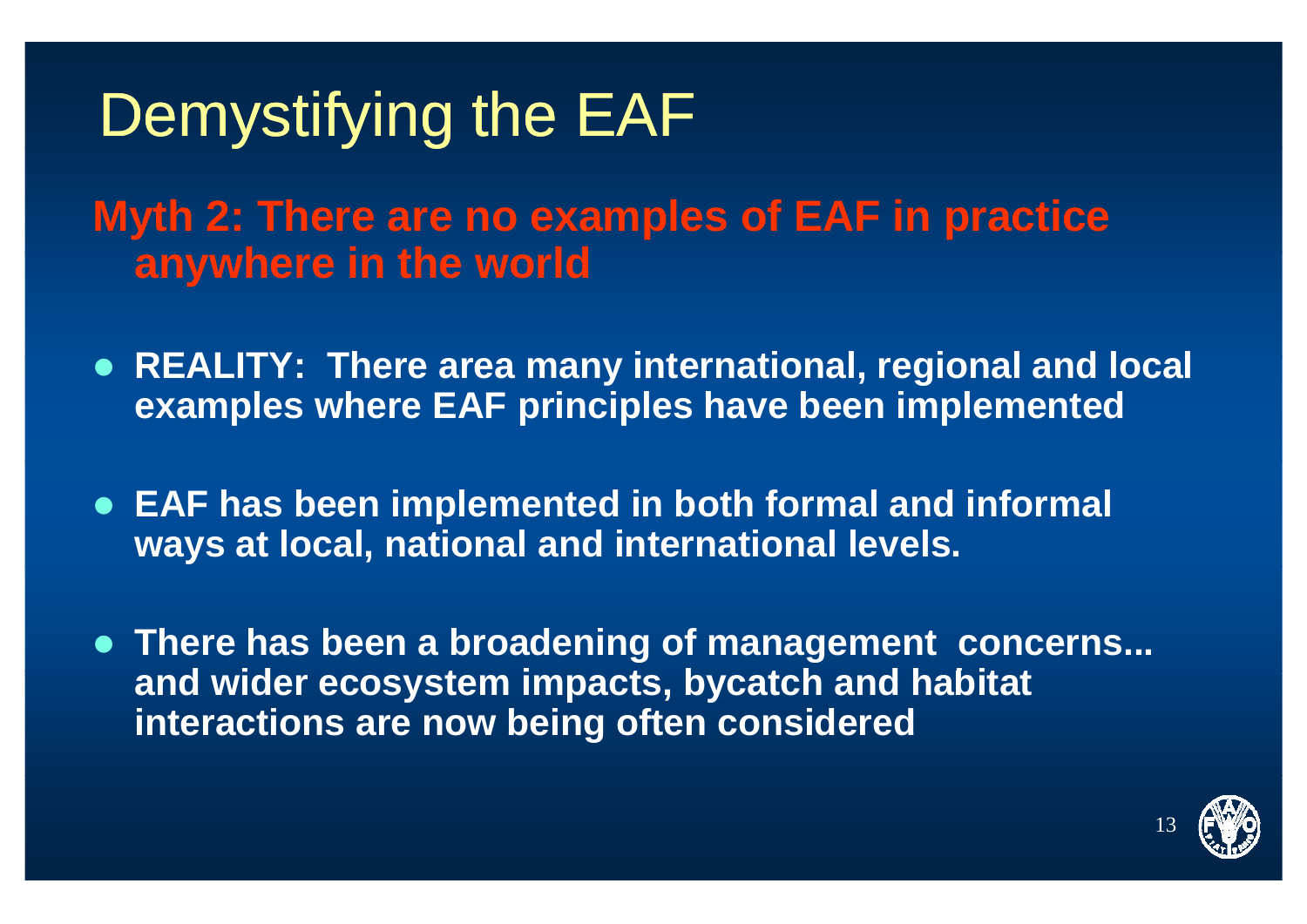**Myth 2: There are no examples of EAF in practice anywhere in the world** 

- REALITY: There area many international, regional and local **examples where EAF principles have been implemented**
- **EAF has been implemented in both formal and informal ways at local, national and international levels.**
- **There has been a broadening of management concerns...** and wider ecosystem impacts, bycatch and habitat **interactions are now being often considered**

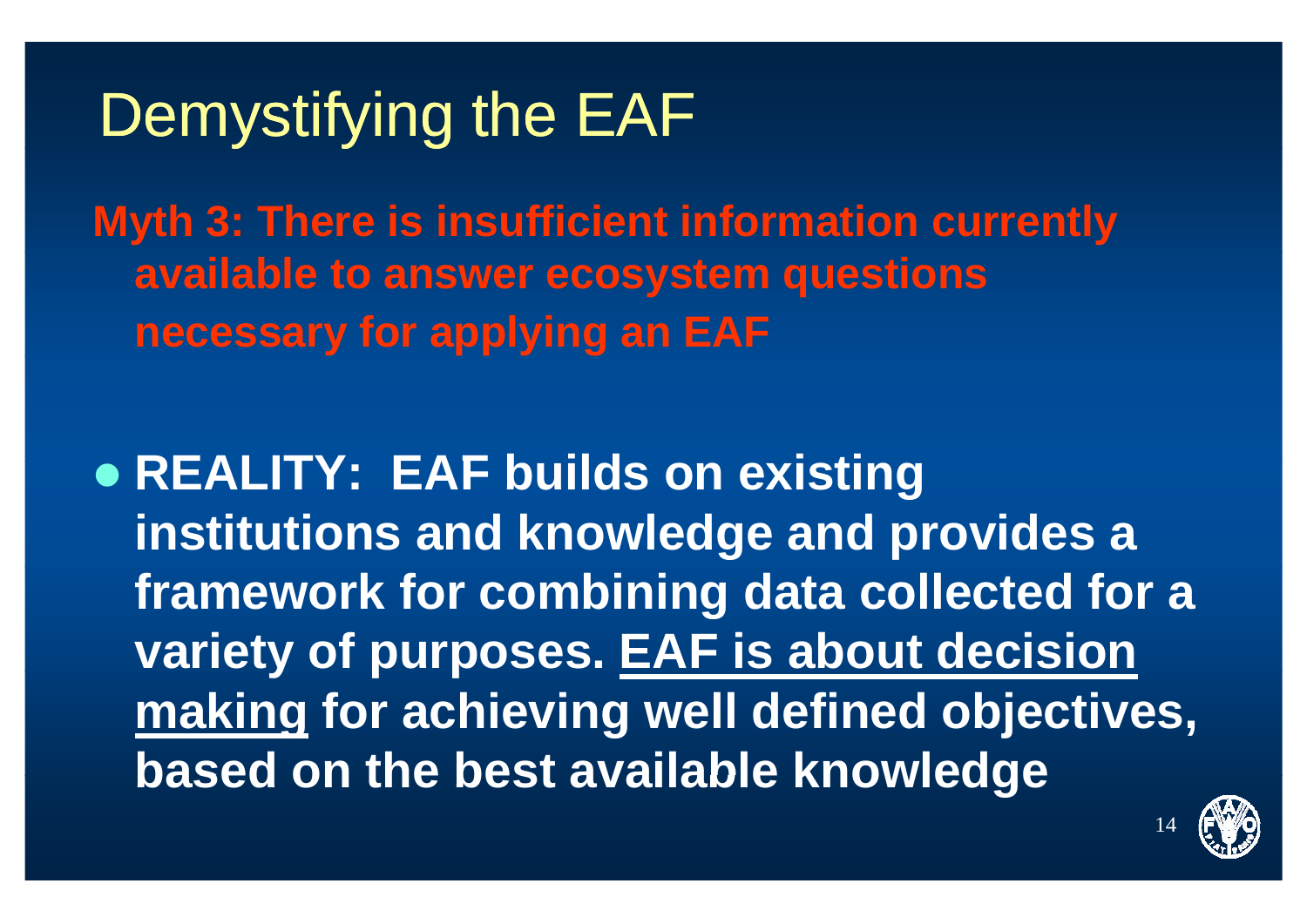Myth 3: There is insufficient information currently available to answer ecosystem questions necessary for applying an EAF

**• REALITY: EAF builds on existing** institutions and knowledge and provides a framework for combining data collected for a variety of purposes. EAF is about decision making for achieving well defined objectives, based on the best available knowledge

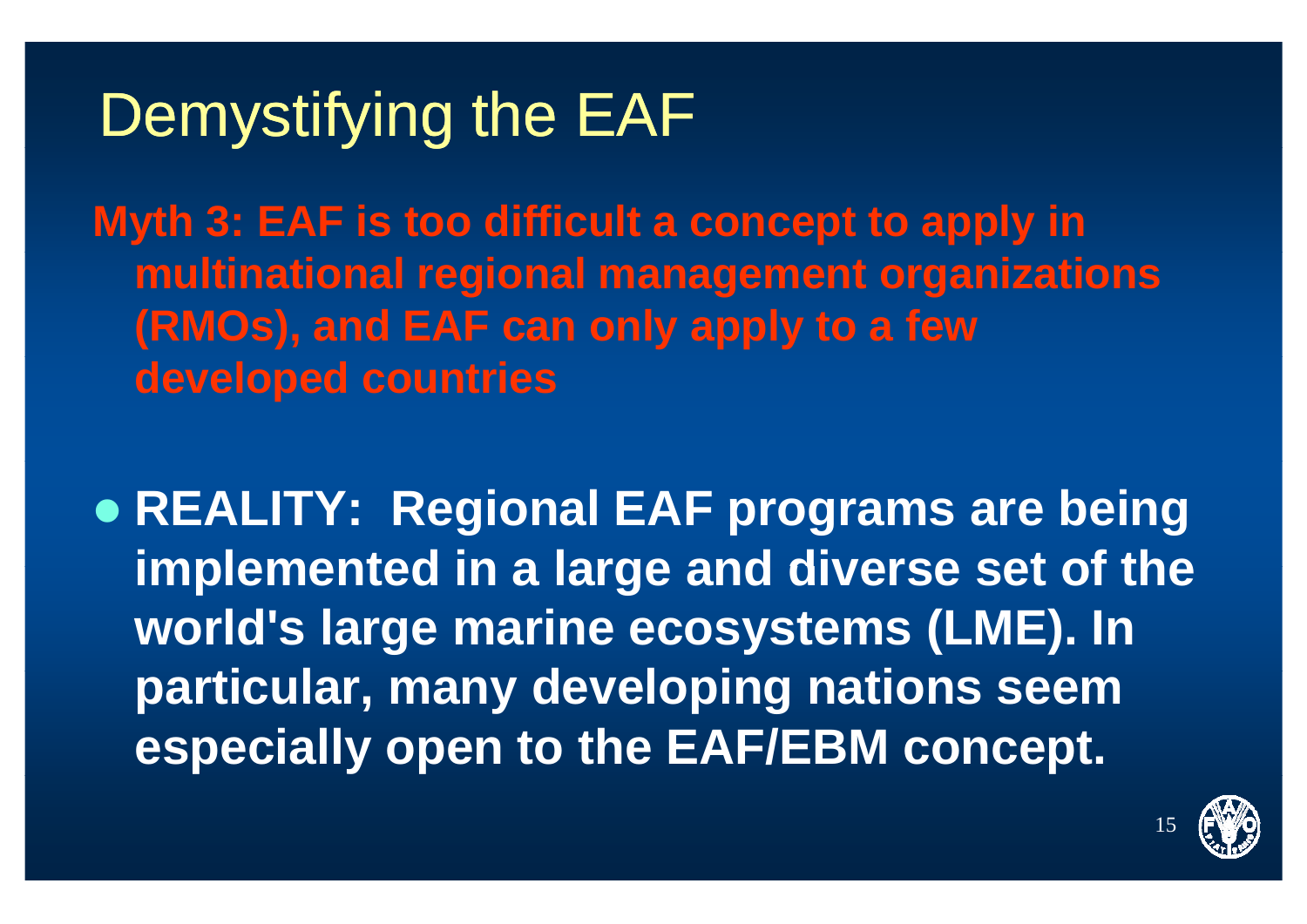**Myth 3: EAF is too difficult a concept to apply in multinational regional management organizations (RMOs), and EAF can only apply to a few developed countries**

z **REALITY: Regional EAF programs are being implemented in <sup>a</sup> large and diverse set of the diverse world's large marine ecosystems (LME). In particular, many developing nations seem especially open to the EAF/EBM concept.**

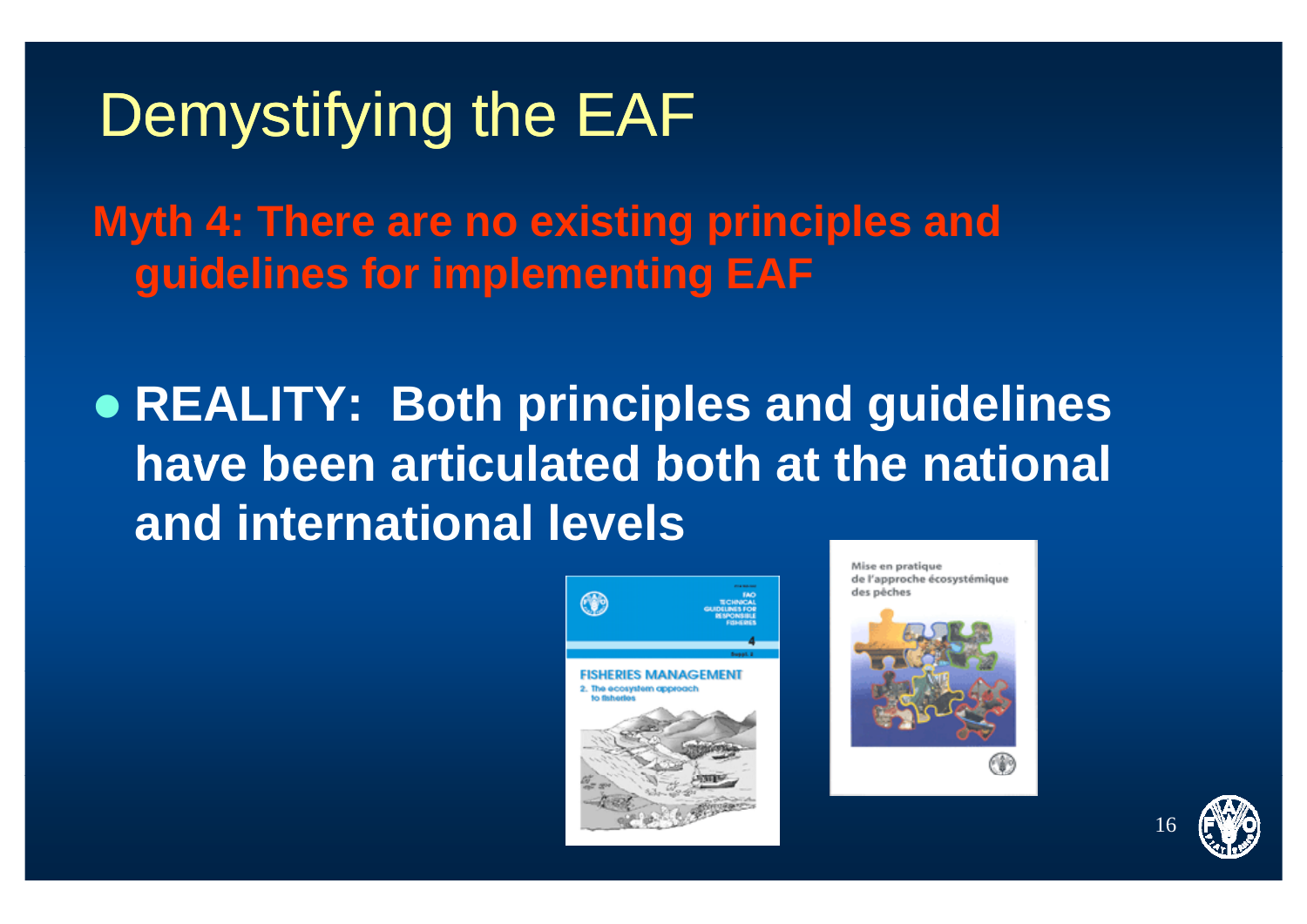Myth 4: There are no existing principles and quidelines for implementing EAF

• REALITY: Both principles and guidelines have been articulated both at the national and international levels



Mise en pratique de l'approche écosystémique des néches





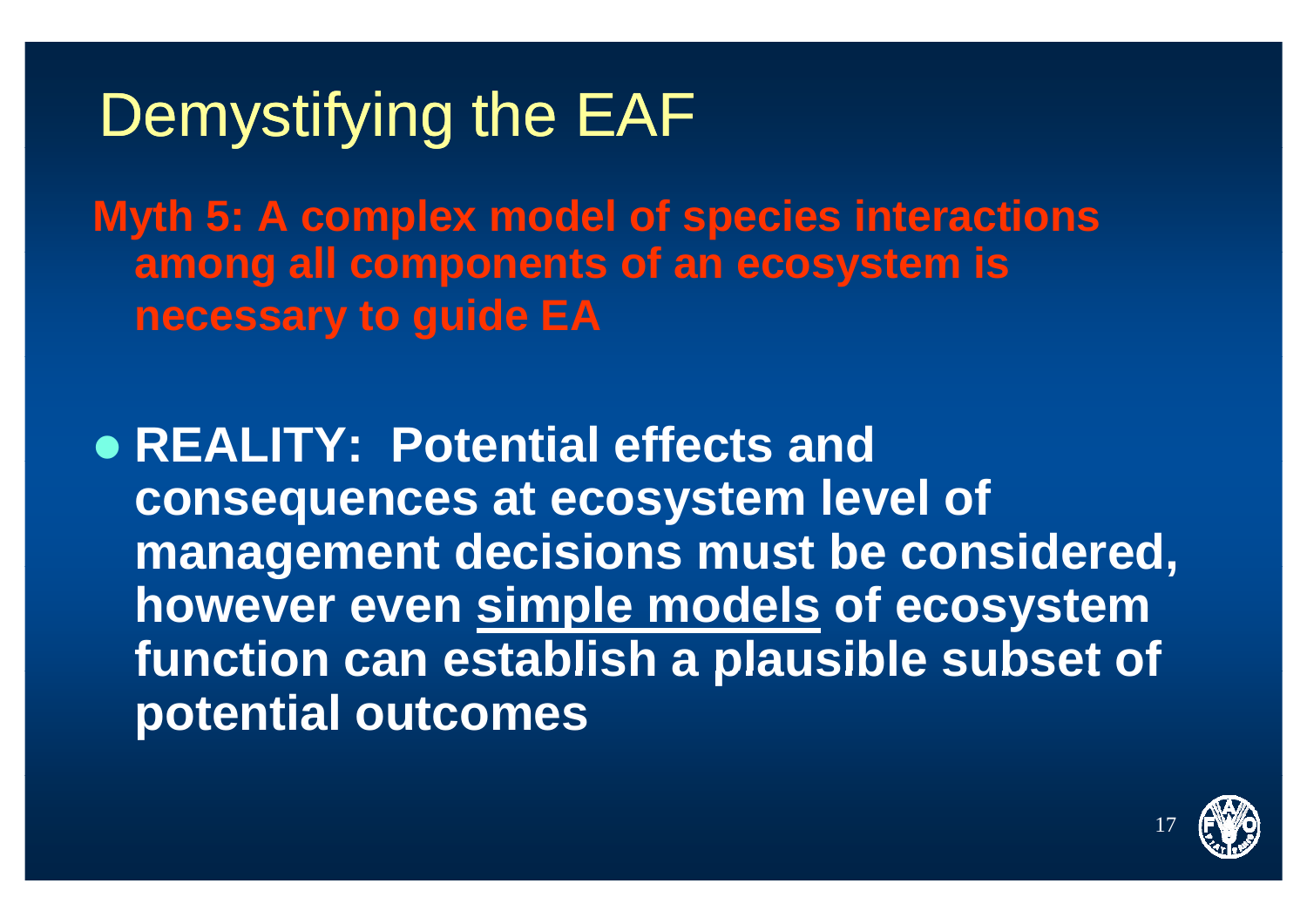**Myth 5: A complex model of species interactions among all t f t i ll components of an ecosystem is necessary to guide EA**

z **REALITY: Potential effects and consequences at ecosystem level of management decisions must be considered, be however even simple models of ecosystem function can establish <sup>a</sup> plausible subset of <sup>a</sup> subset potential outcomes**

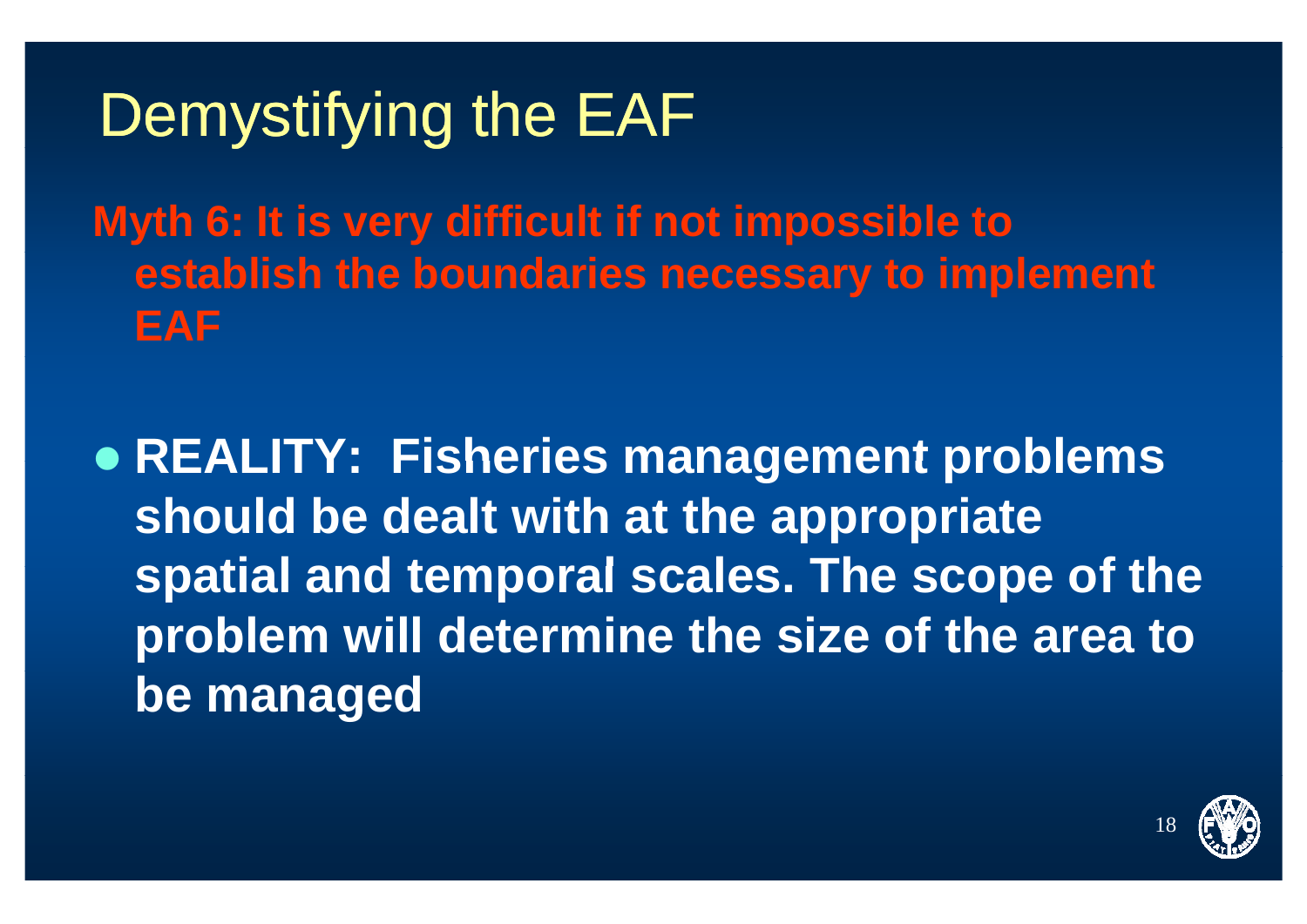**Myth 6: It is very difficult if not impossible to establish the boundaries necessary to implement EAF** 

z **REALITY: Fisheries management problems should be dealt with at the appropriate ispatial and temporal scales. The scope of the problem will determine the size of the area to be managed**

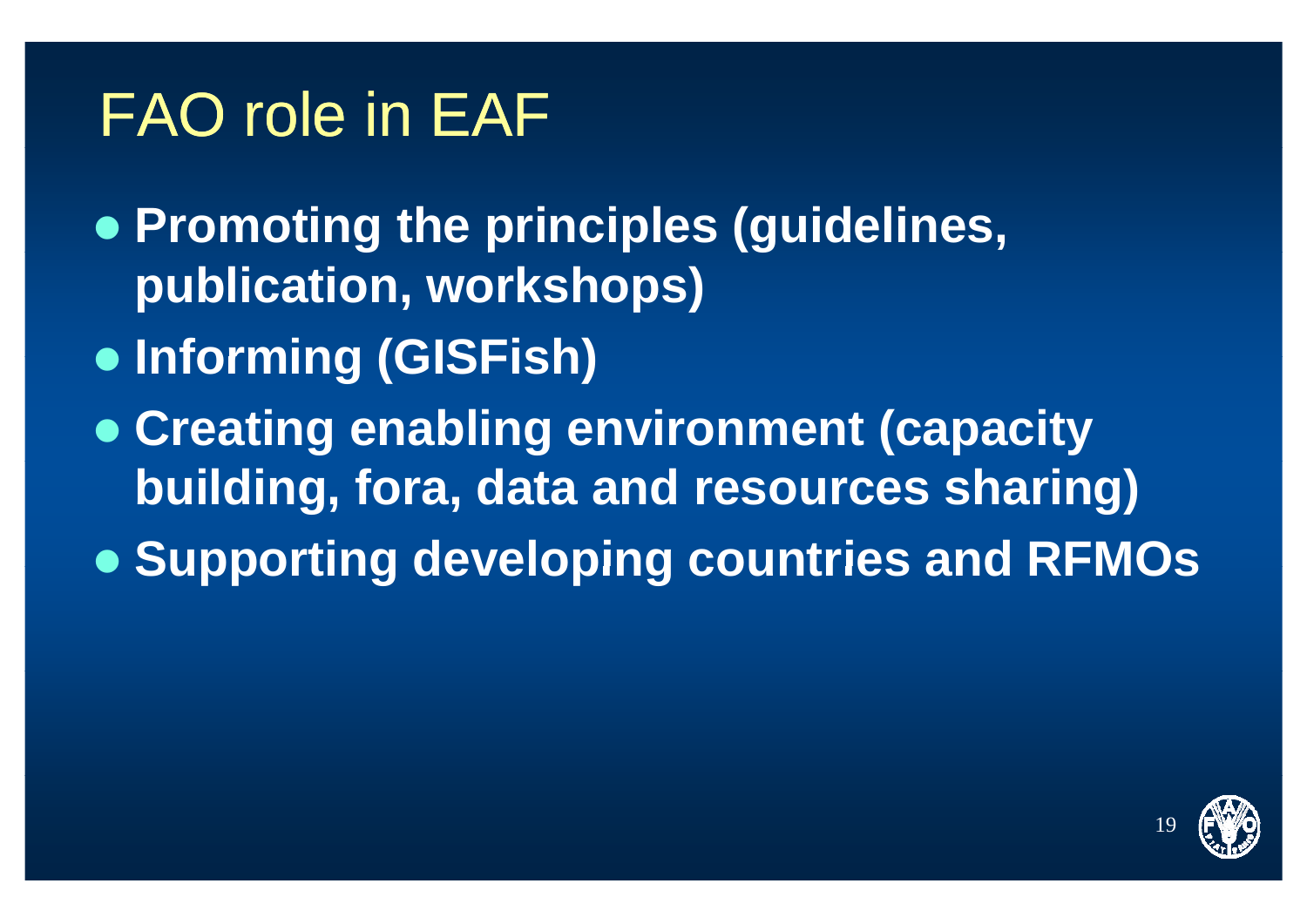#### FAO role in EAF

z **Promotin g p p (g the princi ples (guidelines, publication, workshops)**

- z **Informing (GISFish)**
- **Creating enabling environment (capacity building, fora, data and resources sharing)**
- z **Supporting developing countries and RFMOs**